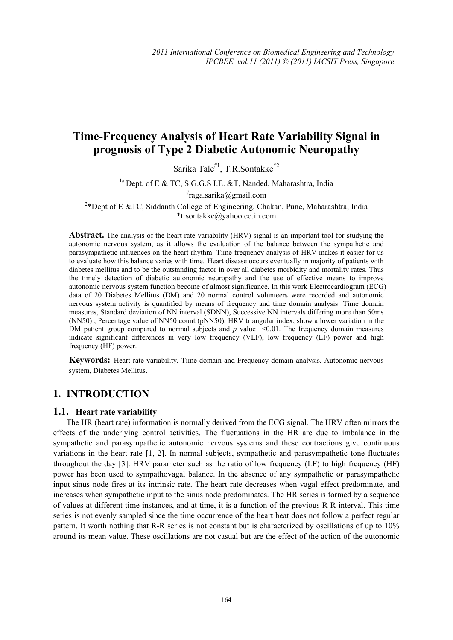# **Time-Frequency Analysis of Heart Rate Variability Signal in prognosis of Type 2 Diabetic Autonomic Neuropathy**

Sarika Tale#1, T.R.Sontakke\*2

 $1#$  Dept. of E & TC, S.G.G.S I.E. & T, Nanded, Maharashtra, India

# raga.sarika@gmail.com

<sup>2</sup>\*Dept of E &TC, Siddanth College of Engineering, Chakan, Pune, Maharashtra, India \*trsontakke@yahoo.co.in.com

**Abstract.** The analysis of the heart rate variability (HRV) signal is an important tool for studying the autonomic nervous system, as it allows the evaluation of the balance between the sympathetic and parasympathetic influences on the heart rhythm. Time-frequency analysis of HRV makes it easier for us to evaluate how this balance varies with time. Heart disease occurs eventually in majority of patients with diabetes mellitus and to be the outstanding factor in over all diabetes morbidity and mortality rates. Thus the timely detection of diabetic autonomic neuropathy and the use of effective means to improve autonomic nervous system function become of almost significance. In this work Electrocardiogram (ECG) data of 20 Diabetes Mellitus (DM) and 20 normal control volunteers were recorded and autonomic nervous system activity is quantified by means of frequency and time domain analysis. Time domain measures, Standard deviation of NN interval (SDNN), Successive NN intervals differing more than 50ms (NN50) , Percentage value of NN50 count (pNN50), HRV triangular index, show a lower variation in the DM patient group compared to normal subjects and  $p$  value  $\leq 0.01$ . The frequency domain measures indicate significant differences in very low frequency (VLF), low frequency (LF) power and high frequency (HF) power.

**Keywords:** Heart rate variability, Time domain and Frequency domain analysis, Autonomic nervous system, Diabetes Mellitus.

# **1. INTRODUCTION**

#### **1.1. Heart rate variability**

The HR (heart rate) information is normally derived from the ECG signal. The HRV often mirrors the effects of the underlying control activities. The fluctuations in the HR are due to imbalance in the sympathetic and parasympathetic autonomic nervous systems and these contractions give continuous variations in the heart rate [1, 2]. In normal subjects, sympathetic and parasympathetic tone fluctuates throughout the day [3]. HRV parameter such as the ratio of low frequency (LF) to high frequency (HF) power has been used to sympathovagal balance. In the absence of any sympathetic or parasympathetic input sinus node fires at its intrinsic rate. The heart rate decreases when vagal effect predominate, and increases when sympathetic input to the sinus node predominates. The HR series is formed by a sequence of values at different time instances, and at time, it is a function of the previous R-R interval. This time series is not evenly sampled since the time occurrence of the heart beat does not follow a perfect regular pattern. It worth nothing that R-R series is not constant but is characterized by oscillations of up to 10% around its mean value. These oscillations are not casual but are the effect of the action of the autonomic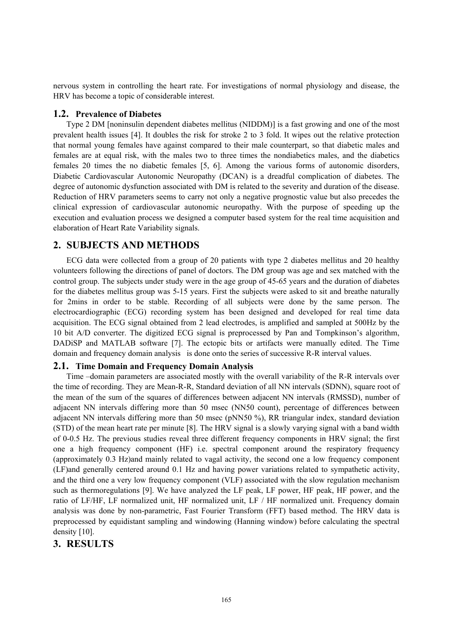nervous system in controlling the heart rate. For investigations of normal physiology and disease, the HRV has become a topic of considerable interest.

#### **1.2. Prevalence of Diabetes**

Type 2 DM [noninsulin dependent diabetes mellitus (NIDDM)] is a fast growing and one of the most prevalent health issues [4]. It doubles the risk for stroke 2 to 3 fold. It wipes out the relative protection that normal young females have against compared to their male counterpart, so that diabetic males and females are at equal risk, with the males two to three times the nondiabetics males, and the diabetics females 20 times the no diabetic females [5, 6]. Among the various forms of autonomic disorders, Diabetic Cardiovascular Autonomic Neuropathy (DCAN) is a dreadful complication of diabetes. The degree of autonomic dysfunction associated with DM is related to the severity and duration of the disease. Reduction of HRV parameters seems to carry not only a negative prognostic value but also precedes the clinical expression of cardiovascular autonomic neuropathy. With the purpose of speeding up the execution and evaluation process we designed a computer based system for the real time acquisition and elaboration of Heart Rate Variability signals.

## **2. SUBJECTS AND METHODS**

ECG data were collected from a group of 20 patients with type 2 diabetes mellitus and 20 healthy volunteers following the directions of panel of doctors. The DM group was age and sex matched with the control group. The subjects under study were in the age group of 45-65 years and the duration of diabetes for the diabetes mellitus group was 5-15 years. First the subjects were asked to sit and breathe naturally for 2mins in order to be stable. Recording of all subjects were done by the same person. The electrocardiographic (ECG) recording system has been designed and developed for real time data acquisition. The ECG signal obtained from 2 lead electrodes, is amplified and sampled at 500Hz by the 10 bit A/D converter. The digitized ECG signal is preprocessed by Pan and Tompkinson's algorithm, DADiSP and MATLAB software [7]. The ectopic bits or artifacts were manually edited. The Time domain and frequency domain analysis is done onto the series of successive R-R interval values.

#### **2.1. Time Domain and Frequency Domain Analysis**

Time –domain parameters are associated mostly with the overall variability of the R-R intervals over the time of recording. They are Mean-R-R, Standard deviation of all NN intervals (SDNN), square root of the mean of the sum of the squares of differences between adjacent NN intervals (RMSSD), number of adjacent NN intervals differing more than 50 msec (NN50 count), percentage of differences between adjacent NN intervals differing more than 50 msec (pNN50 %), RR triangular index, standard deviation (STD) of the mean heart rate per minute [8]. The HRV signal is a slowly varying signal with a band width of 0-0.5 Hz. The previous studies reveal three different frequency components in HRV signal; the first one a high frequency component (HF) i.e. spectral component around the respiratory frequency (approximately 0.3 Hz)and mainly related to vagal activity, the second one a low frequency component (LF)and generally centered around 0.1 Hz and having power variations related to sympathetic activity, and the third one a very low frequency component (VLF) associated with the slow regulation mechanism such as thermoregulations [9]. We have analyzed the LF peak, LF power, HF peak, HF power, and the ratio of LF/HF, LF normalized unit, HF normalized unit, LF / HF normalized unit. Frequency domain analysis was done by non-parametric, Fast Fourier Transform (FFT) based method. The HRV data is preprocessed by equidistant sampling and windowing (Hanning window) before calculating the spectral density [10].

## **3. RESULTS**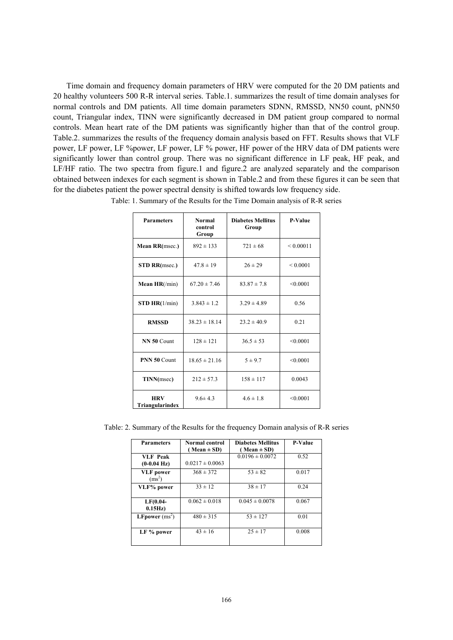Time domain and frequency domain parameters of HRV were computed for the 20 DM patients and 20 healthy volunteers 500 R-R interval series. Table.1. summarizes the result of time domain analyses for normal controls and DM patients. All time domain parameters SDNN, RMSSD, NN50 count, pNN50 count, Triangular index, TINN were significantly decreased in DM patient group compared to normal controls. Mean heart rate of the DM patients was significantly higher than that of the control group. Table.2. summarizes the results of the frequency domain analysis based on FFT. Results shows that VLF power, LF power, LF %power, LF power, LF % power, HF power of the HRV data of DM patients were significantly lower than control group. There was no significant difference in LF peak, HF peak, and LF/HF ratio. The two spectra from figure.1 and figure.2 are analyzed separately and the comparison obtained between indexes for each segment is shown in Table.2 and from these figures it can be seen that for the diabetes patient the power spectral density is shifted towards low frequency side.

| <b>Parameters</b>             | <b>Normal</b><br>control<br>Group | <b>Diabetes Mellitus</b><br>Group | <b>P-Value</b> |
|-------------------------------|-----------------------------------|-----------------------------------|----------------|
| <b>Mean RR(msec.)</b>         | $892 \pm 133$                     | $721 \pm 68$                      | ${}< 0.00011$  |
| <b>STD RR(msec.)</b>          | $47.8 \pm 19$                     | $26 \pm 29$                       | ${}_{0.0001}$  |
| Mean $HR(\text{min})$         | $67.20 \pm 7.46$                  | $83.87 \pm 7.8$                   | < 0.0001       |
| STD HR(1/min)                 | $3.843 \pm 1.2$                   | $3.29 \pm 4.89$                   | 0.56           |
| <b>RMSSD</b>                  | $38.23 \pm 18.14$                 | $23.2 \pm 40.9$                   | 0.21           |
| NN 50 Count                   | $128 \pm 121$                     | $36.5 \pm 53$                     | < 0.0001       |
| <b>PNN 50 Count</b>           | $18.65 \pm 21.16$                 | $5 \pm 9.7$                       | < 0.0001       |
| TINN(msec)                    | $212 \pm 57.3$                    | $158 \pm 117$                     | 0.0043         |
| <b>HRV</b><br>Triangularindex | $9.6 \pm 4.3$                     | $4.6 \pm 1.8$                     | < 0.0001       |

Table: 1. Summary of the Results for the Time Domain analysis of R-R series

Table: 2. Summary of the Results for the frequency Domain analysis of R-R series

| <b>Parameters</b>                        | Normal control<br>Mean $\pm$ SD) | <b>Diabetes Mellitus</b><br>$(Mean \pm SD)$ | <b>P-Value</b> |
|------------------------------------------|----------------------------------|---------------------------------------------|----------------|
| <b>VLF</b> Peak<br>$(0-0.04 \text{ Hz})$ | $0.0217 \pm 0.0063$              | $0.0196 \pm 0.0072$                         | 0.52           |
| <b>VLF</b> power<br>$(ms^2)$             | $368 \pm 372$                    | $53 \pm 82$                                 | 0.017          |
| VLF% power                               | $33 \pm 12$                      | $38 \pm 17$                                 | 0.24           |
| $LF(0.04-$<br>0.15Hz                     | $0.062 \pm 0.018$                | $0.045 \pm 0.0078$                          | 0.067          |
| <b>LFpower</b> $(ms^2)$                  | $480 \pm 315$                    | $53 \pm 127$                                | 0.01           |
| LF % power                               | $43 \pm 16$                      | $25 \pm 17$                                 | 0.008          |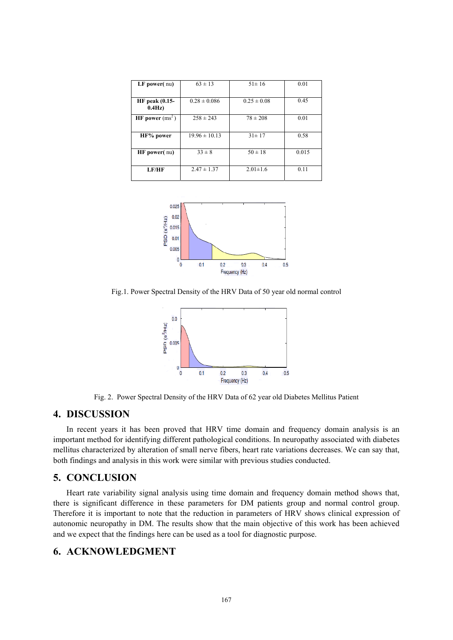| $LF$ power $(nu)$               | $63 \pm 13$       | $51 \pm 16$     | 0.01  |
|---------------------------------|-------------------|-----------------|-------|
|                                 |                   |                 |       |
| <b>HF</b> peak (0.15-<br>0.4Hz) | $0.28 \pm 0.086$  | $0.25 \pm 0.08$ | 0.45  |
| HF power $(ms2)$                | $258 \pm 243$     | $78 \pm 208$    | 0.01  |
| HF% power                       | $19.96 \pm 10.13$ | $31 \pm 17$     | 0.58  |
| <b>HF</b> power(nu)             | $33 \pm 8$        | $50 \pm 18$     | 0.015 |
| LF/HF                           | $2.47 \pm 1.37$   | $2.01 \pm 1.6$  | 0.11  |



Fig.1. Power Spectral Density of the HRV Data of 50 year old normal control



Fig. 2. Power Spectral Density of the HRV Data of 62 year old Diabetes Mellitus Patient

# **4. DISCUSSION**

In recent years it has been proved that HRV time domain and frequency domain analysis is an important method for identifying different pathological conditions. In neuropathy associated with diabetes mellitus characterized by alteration of small nerve fibers, heart rate variations decreases. We can say that, both findings and analysis in this work were similar with previous studies conducted.

# **5. CONCLUSION**

Heart rate variability signal analysis using time domain and frequency domain method shows that, there is significant difference in these parameters for DM patients group and normal control group. Therefore it is important to note that the reduction in parameters of HRV shows clinical expression of autonomic neuropathy in DM. The results show that the main objective of this work has been achieved and we expect that the findings here can be used as a tool for diagnostic purpose.

# **6. ACKNOWLEDGMENT**